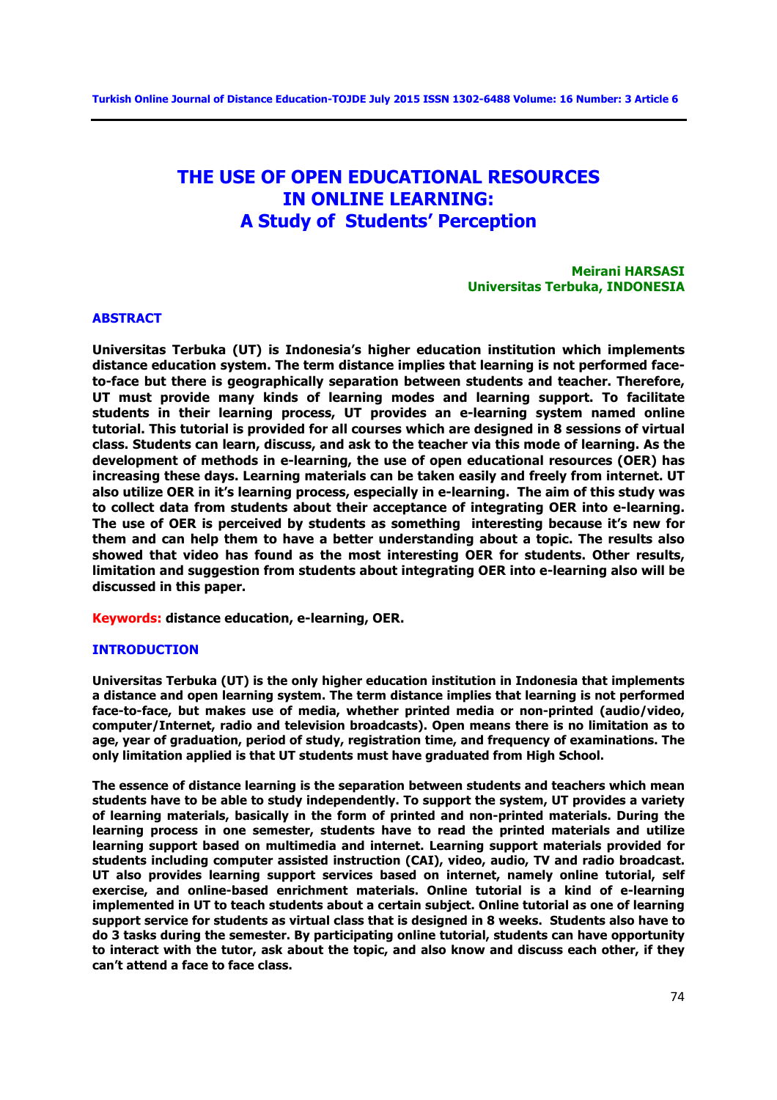# **THE USE OF OPEN EDUCATIONAL RESOURCES IN ONLINE LEARNING: A Study of Students' Perception**

**Meirani HARSASI Universitas Terbuka, INDONESIA**

#### **ABSTRACT**

**Universitas Terbuka (UT) is Indonesia's higher education institution which implements distance education system. The term distance implies that learning is not performed faceto-face but there is geographically separation between students and teacher. Therefore, UT must provide many kinds of learning modes and learning support. To facilitate students in their learning process, UT provides an e-learning system named online tutorial. This tutorial is provided for all courses which are designed in 8 sessions of virtual class. Students can learn, discuss, and ask to the teacher via this mode of learning. As the development of methods in e-learning, the use of open educational resources (OER) has increasing these days. Learning materials can be taken easily and freely from internet. UT also utilize OER in it's learning process, especially in e-learning. The aim of this study was to collect data from students about their acceptance of integrating OER into e-learning. The use of OER is perceived by students as something interesting because it's new for them and can help them to have a better understanding about a topic. The results also showed that video has found as the most interesting OER for students. Other results, limitation and suggestion from students about integrating OER into e-learning also will be discussed in this paper.** 

**Keywords: distance education, e-learning, OER.** 

### **INTRODUCTION**

**Universitas Terbuka (UT) is the only higher education institution in Indonesia that implements a distance and open learning system. The term distance implies that learning is not performed face-to-face, but makes use of media, whether printed media or non-printed (audio/video, computer/Internet, radio and television broadcasts). Open means there is no limitation as to age, year of graduation, period of study, registration time, and frequency of examinations. The only limitation applied is that UT students must have graduated from High School.** 

**The essence of distance learning is the separation between students and teachers which mean students have to be able to study independently. To support the system, UT provides a variety of learning materials, basically in the form of printed and non-printed materials. During the learning process in one semester, students have to read the printed materials and utilize learning support based on multimedia and internet. Learning support materials provided for students including computer assisted instruction (CAI), video, audio, TV and radio broadcast. UT also provides learning support services based on internet, namely online tutorial, self exercise, and online-based enrichment materials. Online tutorial is a kind of e-learning implemented in UT to teach students about a certain subject. Online tutorial as one of learning support service for students as virtual class that is designed in 8 weeks. Students also have to do 3 tasks during the semester. By participating online tutorial, students can have opportunity to interact with the tutor, ask about the topic, and also know and discuss each other, if they can't attend a face to face class.**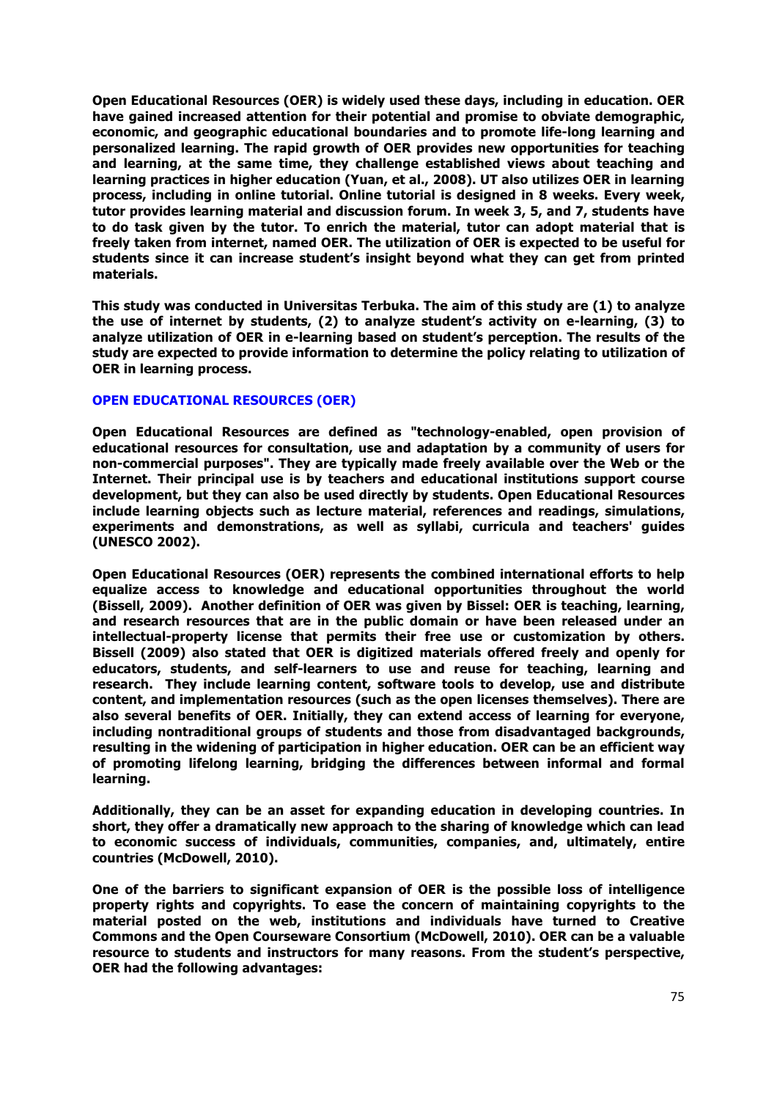**Open Educational Resources (OER) is widely used these days, including in education. OER have gained increased attention for their potential and promise to obviate demographic, economic, and geographic educational boundaries and to promote life-long learning and personalized learning. The rapid growth of OER provides new opportunities for teaching and learning, at the same time, they challenge established views about teaching and learning practices in higher education (Yuan, et al., 2008). UT also utilizes OER in learning process, including in online tutorial. Online tutorial is designed in 8 weeks. Every week, tutor provides learning material and discussion forum. In week 3, 5, and 7, students have to do task given by the tutor. To enrich the material, tutor can adopt material that is freely taken from internet, named OER. The utilization of OER is expected to be useful for students since it can increase student's insight beyond what they can get from printed materials.** 

**This study was conducted in Universitas Terbuka. The aim of this study are (1) to analyze the use of internet by students, (2) to analyze student's activity on e-learning, (3) to analyze utilization of OER in e-learning based on student's perception. The results of the study are expected to provide information to determine the policy relating to utilization of OER in learning process.** 

### **OPEN EDUCATIONAL RESOURCES (OER)**

**Open Educational Resources are defined as "technology-enabled, open provision of educational resources for consultation, use and adaptation by a community of users for non-commercial purposes". They are typically made freely available over the Web or the Internet. Their principal use is by teachers and educational institutions support course development, but they can also be used directly by students. Open Educational Resources include learning objects such as lecture material, references and readings, simulations, experiments and demonstrations, as well as syllabi, curricula and teachers' guides (UNESCO 2002).** 

**Open Educational Resources (OER) represents the combined international efforts to help equalize access to knowledge and educational opportunities throughout the world (Bissell, 2009). Another definition of OER was given by Bissel: OER is teaching, learning, and research resources that are in the public domain or have been released under an intellectual-property license that permits their free use or customization by others. Bissell (2009) also stated that OER is digitized materials offered freely and openly for educators, students, and self-learners to use and reuse for teaching, learning and research. They include learning content, software tools to develop, use and distribute content, and implementation resources (such as the open licenses themselves). There are also several benefits of OER. Initially, they can extend access of learning for everyone, including nontraditional groups of students and those from disadvantaged backgrounds, resulting in the widening of participation in higher education. OER can be an efficient way of promoting lifelong learning, bridging the differences between informal and formal learning.** 

**Additionally, they can be an asset for expanding education in developing countries. In short, they offer a dramatically new approach to the sharing of knowledge which can lead to economic success of individuals, communities, companies, and, ultimately, entire countries (McDowell, 2010).**

**One of the barriers to significant expansion of OER is the possible loss of intelligence property rights and copyrights. To ease the concern of maintaining copyrights to the material posted on the web, institutions and individuals have turned to Creative Commons and the Open Courseware Consortium (McDowell, 2010). OER can be a valuable resource to students and instructors for many reasons. From the student's perspective, OER had the following advantages:**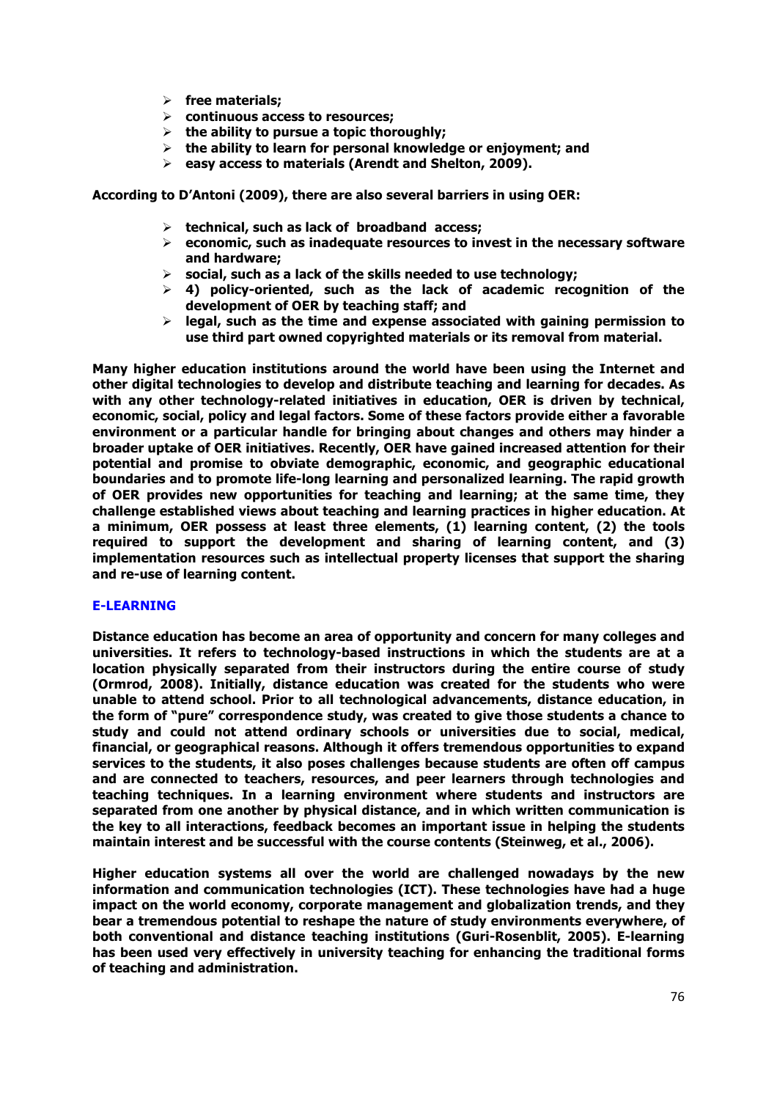- Ø **free materials;**
- Ø **continuous access to resources;**
- Ø **the ability to pursue a topic thoroughly;**
- Ø **the ability to learn for personal knowledge or enjoyment; and**
- Ø **easy access to materials (Arendt and Shelton, 2009).**

**According to D'Antoni (2009), there are also several barriers in using OER:** 

- Ø **technical, such as lack of broadband access;**
- Ø **economic, such as inadequate resources to invest in the necessary software and hardware;**
- Ø **social, such as a lack of the skills needed to use technology;**
- $\geq$  4) policy-oriented, such as the lack of academic recognition of the **development of OER by teaching staff; and**
- Ø **legal, such as the time and expense associated with gaining permission to use third part owned copyrighted materials or its removal from material.**

**Many higher education institutions around the world have been using the Internet and other digital technologies to develop and distribute teaching and learning for decades. As with any other technology-related initiatives in education, OER is driven by technical, economic, social, policy and legal factors. Some of these factors provide either a favorable environment or a particular handle for bringing about changes and others may hinder a broader uptake of OER initiatives. Recently, OER have gained increased attention for their potential and promise to obviate demographic, economic, and geographic educational boundaries and to promote life-long learning and personalized learning. The rapid growth of OER provides new opportunities for teaching and learning; at the same time, they challenge established views about teaching and learning practices in higher education. At a minimum, OER possess at least three elements, (1) learning content, (2) the tools required to support the development and sharing of learning content, and (3) implementation resources such as intellectual property licenses that support the sharing and re-use of learning content.**

### **E-LEARNING**

**Distance education has become an area of opportunity and concern for many colleges and universities. It refers to technology-based instructions in which the students are at a location physically separated from their instructors during the entire course of study (Ormrod, 2008). Initially, distance education was created for the students who were unable to attend school. Prior to all technological advancements, distance education, in the form of "pure" correspondence study, was created to give those students a chance to study and could not attend ordinary schools or universities due to social, medical, financial, or geographical reasons. Although it offers tremendous opportunities to expand services to the students, it also poses challenges because students are often off campus and are connected to teachers, resources, and peer learners through technologies and teaching techniques. In a learning environment where students and instructors are separated from one another by physical distance, and in which written communication is the key to all interactions, feedback becomes an important issue in helping the students maintain interest and be successful with the course contents (Steinweg, et al., 2006).** 

**Higher education systems all over the world are challenged nowadays by the new information and communication technologies (ICT). These technologies have had a huge impact on the world economy, corporate management and globalization trends, and they bear a tremendous potential to reshape the nature of study environments everywhere, of both conventional and distance teaching institutions (Guri-Rosenblit, 2005). E-learning has been used very effectively in university teaching for enhancing the traditional forms of teaching and administration.**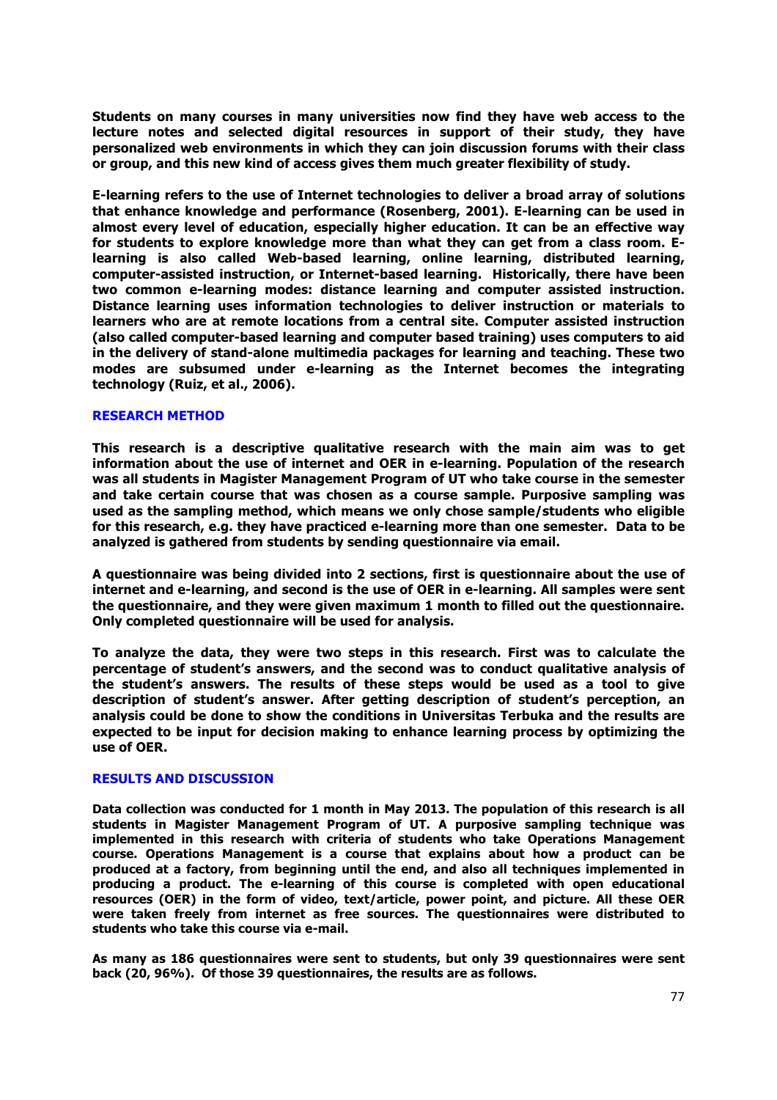**Students on many courses in many universities now find they have web access to the lecture notes and selected digital resources in support of their study, they have personalized web environments in which they can join discussion forums with their class or group, and this new kind of access gives them much greater flexibility of study.**

**E-learning refers to the use of Internet technologies to deliver a broad array of solutions that enhance knowledge and performance (Rosenberg, 2001). E-learning can be used in almost every level of education, especially higher education. It can be an effective way for students to explore knowledge more than what they can get from a class room. Elearning is also called Web-based learning, online learning, distributed learning, computer-assisted instruction, or Internet-based learning. Historically, there have been two common e-learning modes: distance learning and computer assisted instruction. Distance learning uses information technologies to deliver instruction or materials to learners who are at remote locations from a central site. Computer assisted instruction (also called computer-based learning and computer based training) uses computers to aid in the delivery of stand-alone multimedia packages for learning and teaching. These two modes are subsumed under e-learning as the Internet becomes the integrating technology (Ruiz, et al., 2006).**

### **RESEARCH METHOD**

**This research is a descriptive qualitative research with the main aim was to get information about the use of internet and OER in e-learning. Population of the research was all students in Magister Management Program of UT who take course in the semester and take certain course that was chosen as a course sample. Purposive sampling was used as the sampling method, which means we only chose sample/students who eligible for this research, e.g. they have practiced e-learning more than one semester. Data to be analyzed is gathered from students by sending questionnaire via email.** 

**A questionnaire was being divided into 2 sections, first is questionnaire about the use of internet and e-learning, and second is the use of OER in e-learning. All samples were sent the questionnaire, and they were given maximum 1 month to filled out the questionnaire. Only completed questionnaire will be used for analysis.** 

**To analyze the data, they were two steps in this research. First was to calculate the percentage of student's answers, and the second was to conduct qualitative analysis of the student's answers. The results of these steps would be used as a tool to give description of student's answer. After getting description of student's perception, an analysis could be done to show the conditions in Universitas Terbuka and the results are expected to be input for decision making to enhance learning process by optimizing the use of OER.** 

### **RESULTS AND DISCUSSION**

**Data collection was conducted for 1 month in May 2013. The population of this research is all students in Magister Management Program of UT. A purposive sampling technique was implemented in this research with criteria of students who take Operations Management course. Operations Management is a course that explains about how a product can be produced at a factory, from beginning until the end, and also all techniques implemented in producing a product. The e-learning of this course is completed with open educational resources (OER) in the form of video, text/article, power point, and picture. All these OER were taken freely from internet as free sources. The questionnaires were distributed to students who take this course via e-mail.** 

**As many as 186 questionnaires were sent to students, but only 39 questionnaires were sent back (20, 96%). Of those 39 questionnaires, the results are as follows.**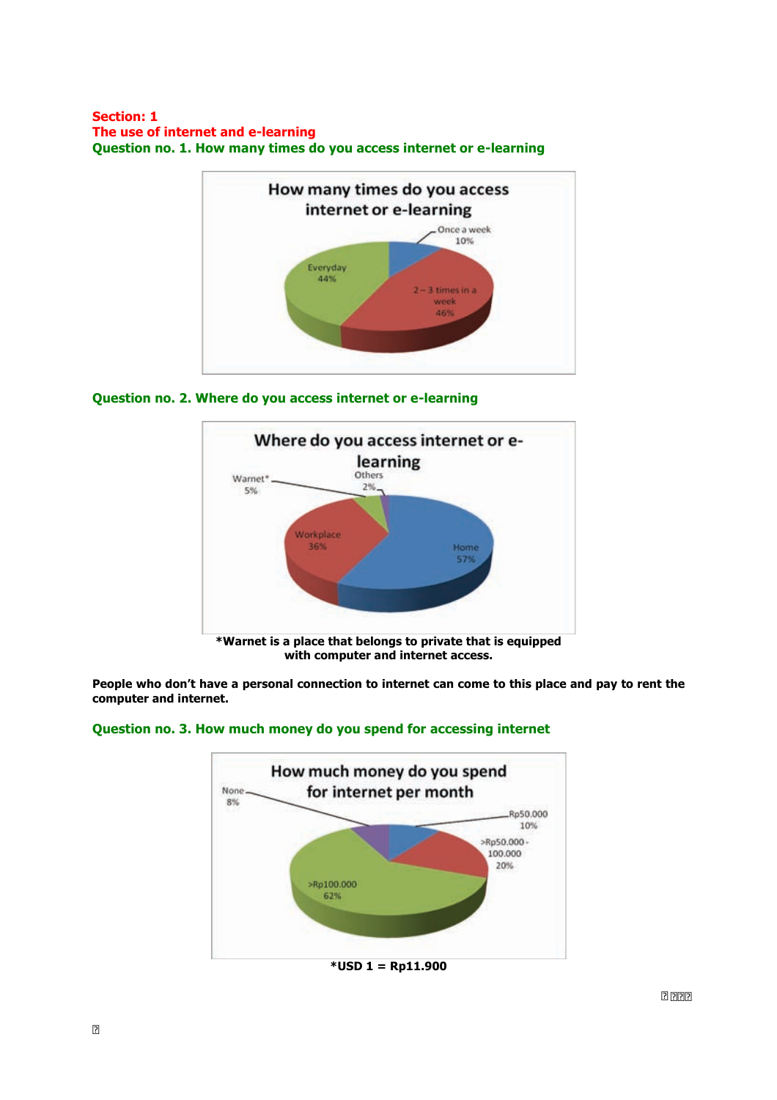### **Section: 1 The use of internet and e-learning Question no. 1. How many times do you access internet or e-learning**



# **Question no. 2. Where do you access internet or e-learning**



**People who don't have a personal connection to internet can come to this place and pay to rent the computer and internet.**



# **Question no. 3. How much money do you spend for accessing internet**

**\*USD 1 = Rp11.900**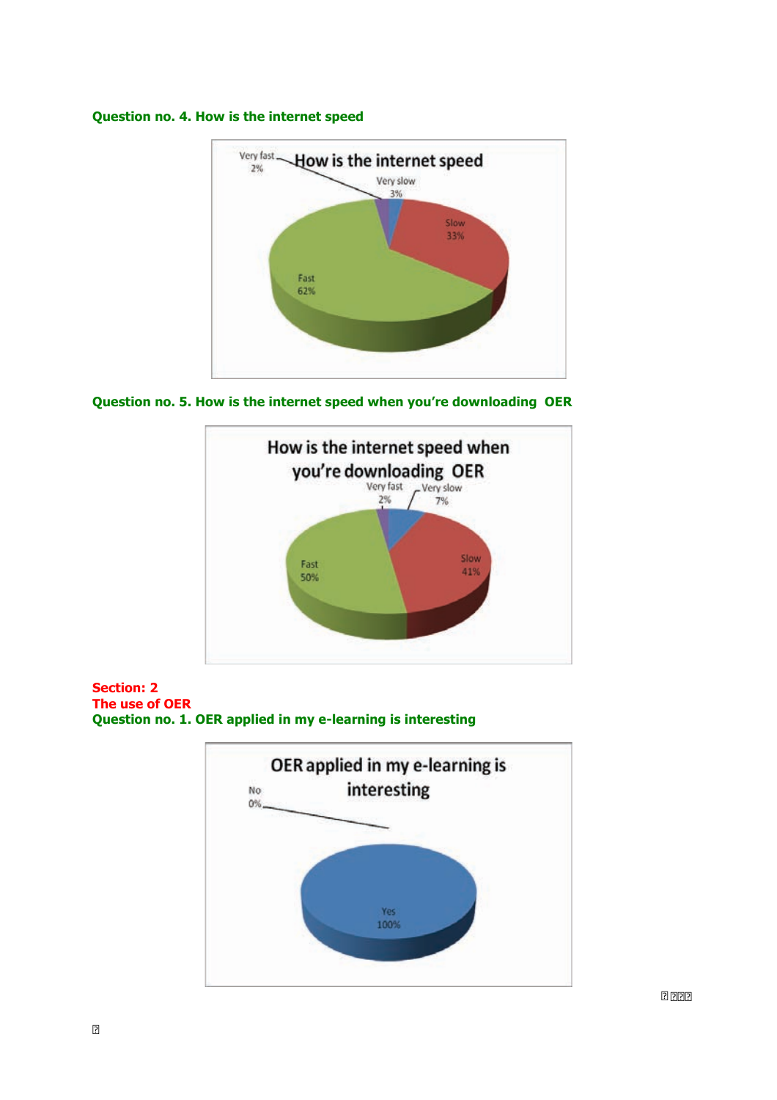### **Question no. 4. How is the internet speed**



**Question no. 5. How is the internet speed when you're downloading OER**



**Section: 2 The use of OER Question no. 1. OER applied in my e-learning is interesting**

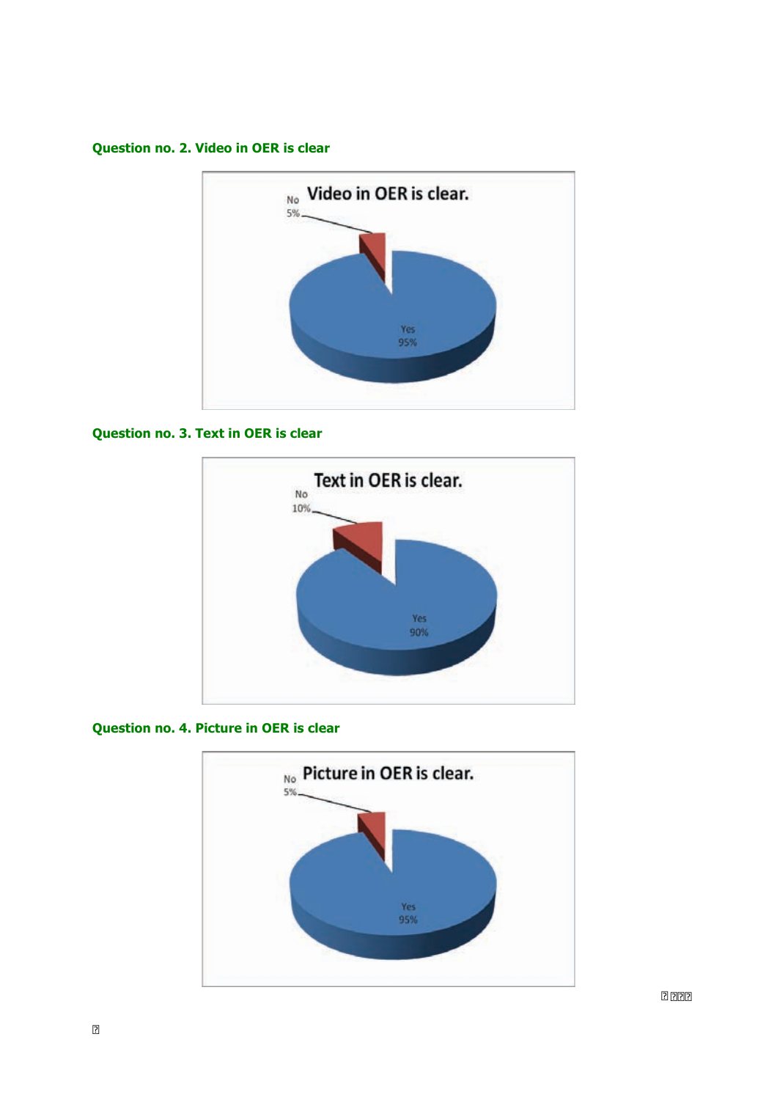**Question no. 2. Video in OER is clear**



# **Question no. 3. Text in OER is clear**



# **Question no. 4. Picture in OER is clear**

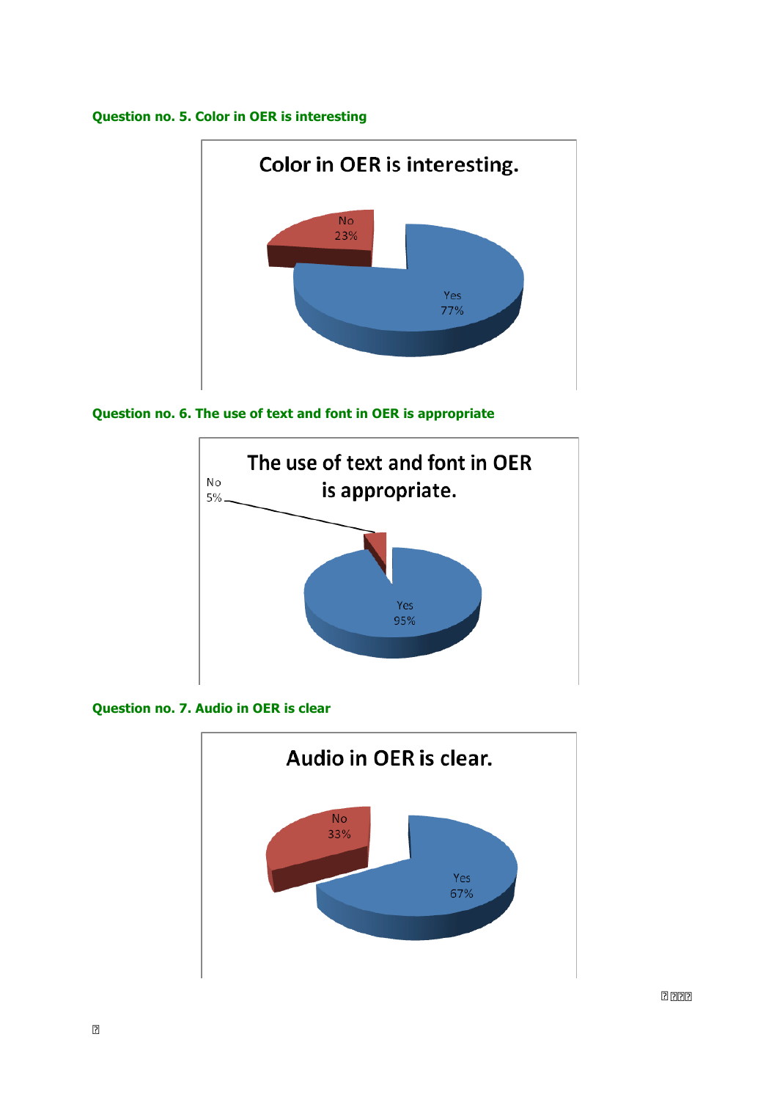# **Question no. 5. Color in OER is interesting**



# **Question no. 6. The use of text and font in OER is appropriate**



**Question no. 7. Audio in OER is clear**

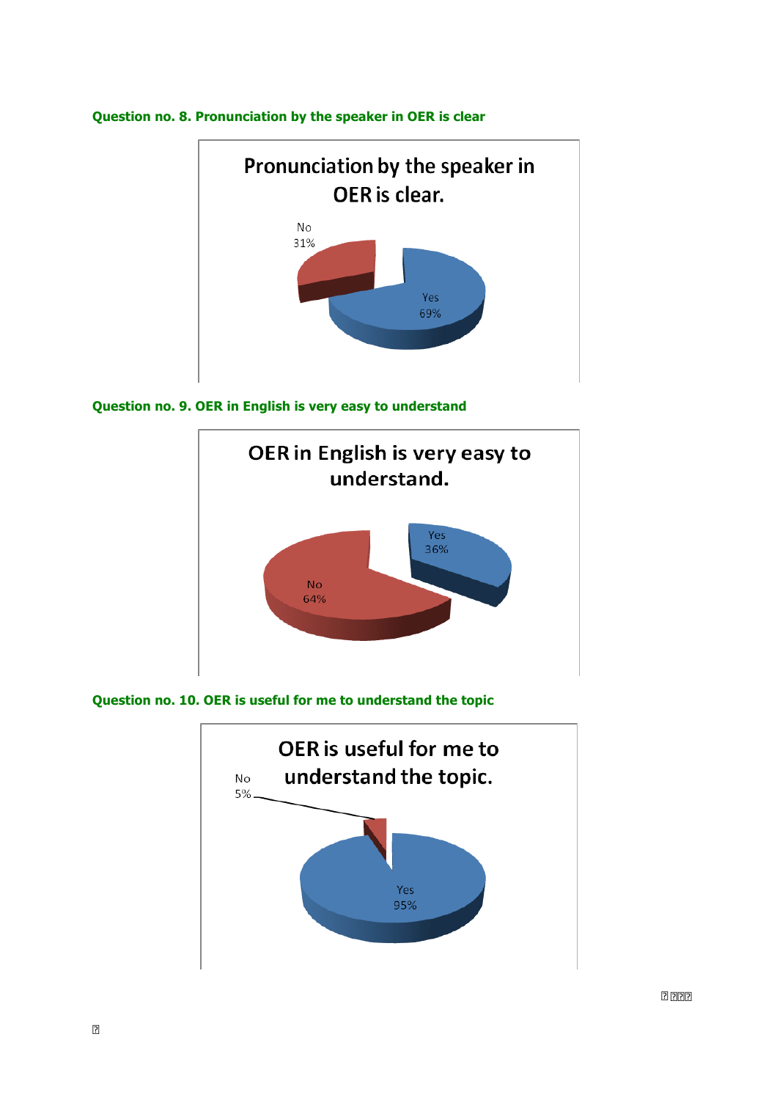

# **Question no. 8. Pronunciation by the speaker in OER is clear**





**Question no. 10. OER is useful for me to understand the topic**

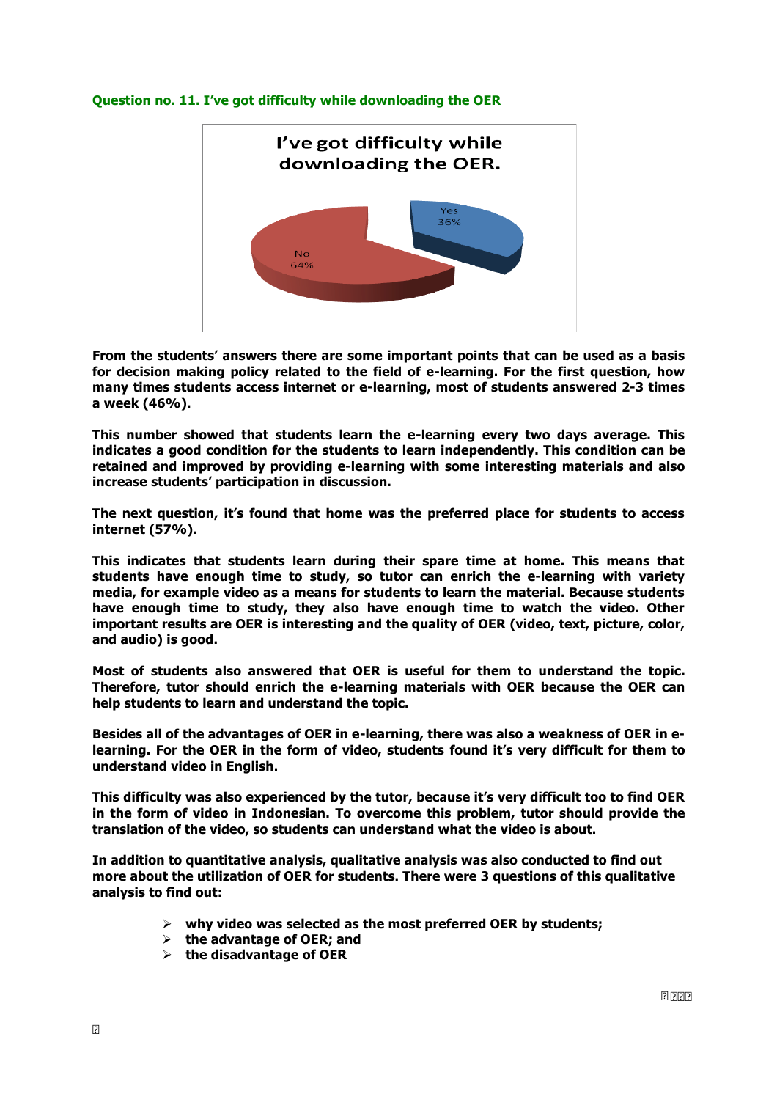### **Question no. 11. I've got difficulty while downloading the OER**



**From the students' answers there are some important points that can be used as a basis for decision making policy related to the field of e-learning. For the first question, how many times students access internet or e-learning, most of students answered 2-3 times a week (46%).** 

**This number showed that students learn the e-learning every two days average. This indicates a good condition for the students to learn independently. This condition can be retained and improved by providing e-learning with some interesting materials and also increase students' participation in discussion.** 

**The next question, it's found that home was the preferred place for students to access internet (57%).** 

**This indicates that students learn during their spare time at home. This means that students have enough time to study, so tutor can enrich the e-learning with variety media, for example video as a means for students to learn the material. Because students have enough time to study, they also have enough time to watch the video. Other important results are OER is interesting and the quality of OER (video, text, picture, color, and audio) is good.** 

**Most of students also answered that OER is useful for them to understand the topic. Therefore, tutor should enrich the e-learning materials with OER because the OER can help students to learn and understand the topic.** 

**Besides all of the advantages of OER in e-learning, there was also a weakness of OER in elearning. For the OER in the form of video, students found it's very difficult for them to understand video in English.** 

**This difficulty was also experienced by the tutor, because it's very difficult too to find OER in the form of video in Indonesian. To overcome this problem, tutor should provide the translation of the video, so students can understand what the video is about.**

**In addition to quantitative analysis, qualitative analysis was also conducted to find out more about the utilization of OER for students. There were 3 questions of this qualitative analysis to find out:** 

- Ø **why video was selected as the most preferred OER by students;**
- Ø **the advantage of OER; and**
- Ø **the disadvantage of OER**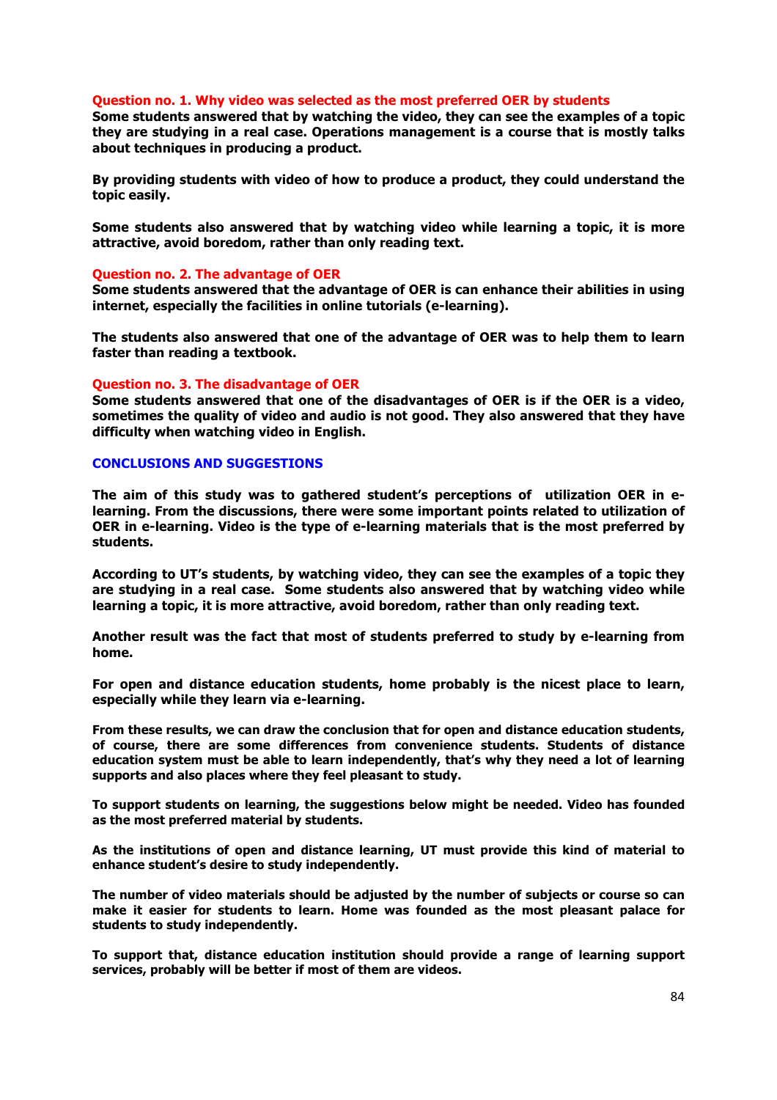#### **Question no. 1. Why video was selected as the most preferred OER by students**

**Some students answered that by watching the video, they can see the examples of a topic they are studying in a real case. Operations management is a course that is mostly talks about techniques in producing a product.** 

**By providing students with video of how to produce a product, they could understand the topic easily.** 

**Some students also answered that by watching video while learning a topic, it is more attractive, avoid boredom, rather than only reading text.** 

#### **Question no. 2. The advantage of OER**

**Some students answered that the advantage of OER is can enhance their abilities in using internet, especially the facilities in online tutorials (e-learning).** 

**The students also answered that one of the advantage of OER was to help them to learn faster than reading a textbook.**

#### **Question no. 3. The disadvantage of OER**

**Some students answered that one of the disadvantages of OER is if the OER is a video, sometimes the quality of video and audio is not good. They also answered that they have difficulty when watching video in English.** 

### **CONCLUSIONS AND SUGGESTIONS**

**The aim of this study was to gathered student's perceptions of utilization OER in elearning. From the discussions, there were some important points related to utilization of OER in e-learning. Video is the type of e-learning materials that is the most preferred by students.** 

**According to UT's students, by watching video, they can see the examples of a topic they are studying in a real case. Some students also answered that by watching video while learning a topic, it is more attractive, avoid boredom, rather than only reading text.** 

**Another result was the fact that most of students preferred to study by e-learning from home.** 

**For open and distance education students, home probably is the nicest place to learn, especially while they learn via e-learning.** 

**From these results, we can draw the conclusion that for open and distance education students, of course, there are some differences from convenience students. Students of distance education system must be able to learn independently, that's why they need a lot of learning supports and also places where they feel pleasant to study.** 

**To support students on learning, the suggestions below might be needed. Video has founded as the most preferred material by students.** 

**As the institutions of open and distance learning, UT must provide this kind of material to enhance student's desire to study independently.** 

**The number of video materials should be adjusted by the number of subjects or course so can make it easier for students to learn. Home was founded as the most pleasant palace for students to study independently.** 

**To support that, distance education institution should provide a range of learning support services, probably will be better if most of them are videos.**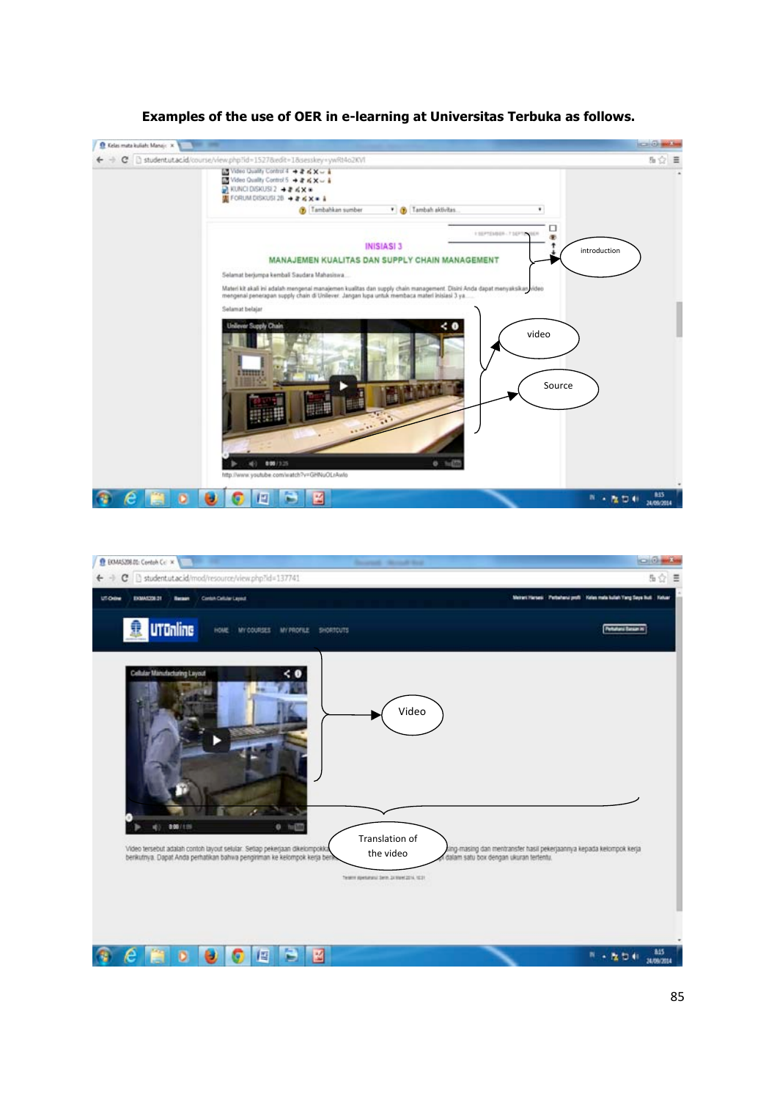

# **Examples of the use of OER in e-learning at Universitas Terbuka as follows.**

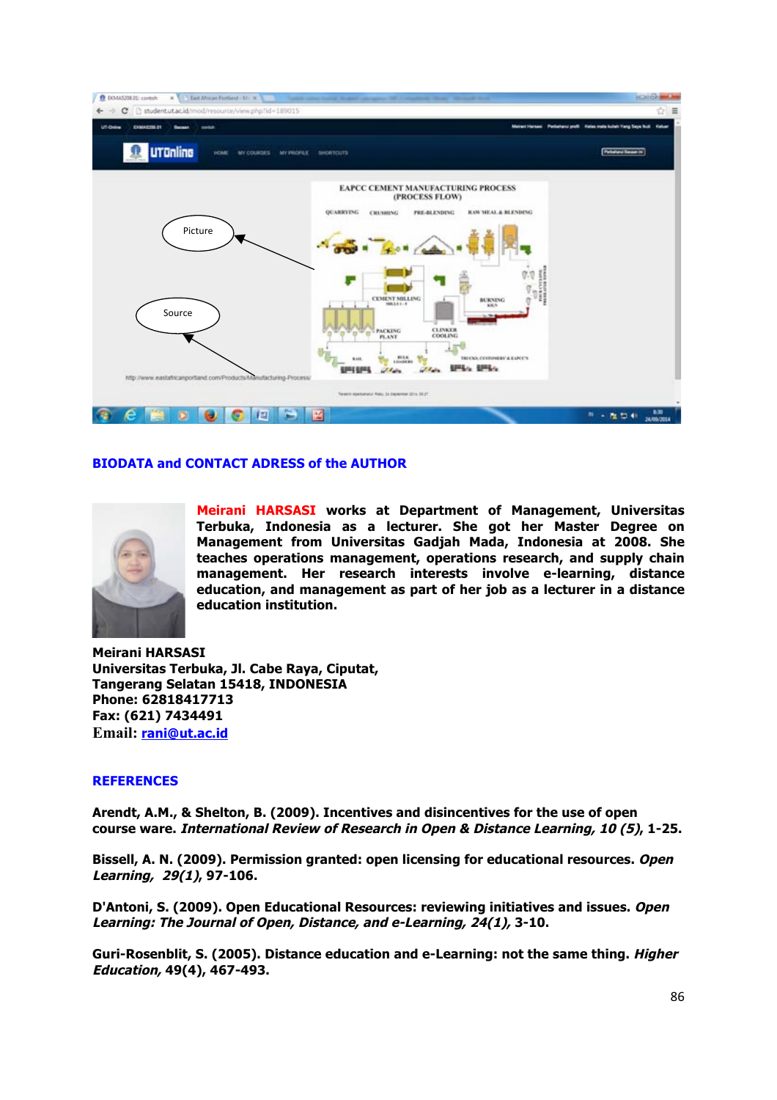

# **BIODATA and CONTACT ADRESS of the AUTHOR**



**Meirani HARSASI works at Department of Management, Universitas Terbuka, Indonesia as a lecturer. She got her Master Degree on Management from Universitas Gadjah Mada, Indonesia at 2008. She teaches operations management, operations research, and supply chain management. Her research interests involve e-learning, distance education, and management as part of her job as a lecturer in a distance education institution.** 

**Meirani HARSASI Universitas Terbuka, Jl. Cabe Raya, Ciputat, Tangerang Selatan 15418, INDONESIA Phone: 62818417713 Fax: (621) 7434491 Email: rani@ut.ac.id**

# **REFERENCES**

**Arendt, A.M., & Shelton, B. (2009). Incentives and disincentives for the use of open course ware. International Review of Research in Open & Distance Learning, 10 (5), 1-25.**

**Bissell, A. N. (2009). Permission granted: open licensing for educational resources. Open Learning, 29(1), 97-106.**

**D'Antoni, S. (2009). Open Educational Resources: reviewing initiatives and issues. Open Learning: The Journal of Open, Distance, and e-Learning, 24(1), 3-10.**

**Guri-Rosenblit, S. (2005). Distance education and e-Learning: not the same thing. Higher Education, 49(4), 467-493.**